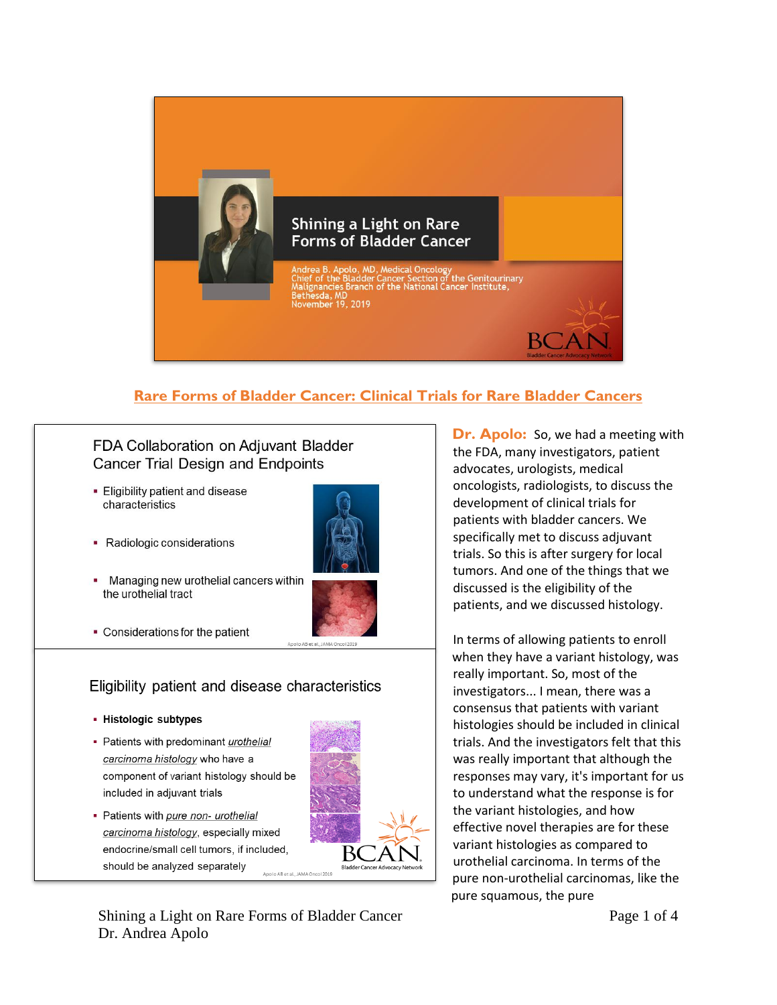

## **Rare Forms of Bladder Cancer: Clinical Trials for Rare Bladder Cancers**

## FDA Collaboration on Adjuvant Bladder **Cancer Trial Design and Endpoints**

- Eligibility patient and disease characteristics
- 
- Radiologic considerations
- Managing new urothelial cancers within the urothelial tract



• Considerations for the patient

## Eligibility patient and disease characteristics

- Histologic subtypes
- Patients with predominant urothelial carcinoma histology who have a component of variant histology should be included in adjuvant trials
- Patients with pure non- urothelial carcinoma histology, especially mixed endocrine/small cell tumors, if included, should be analyzed separately Anolo AB et al JAMA Oncol 2019

Shining a Light on Rare Forms of Bladder Cancer Dr. Andrea Apolo

**Dr. Apolo:** So, we had a meeting with the FDA, many investigators, patient advocates, urologists, medical oncologists, radiologists, to discuss the development of clinical trials for patients with bladder cancers. We specifically met to discuss adjuvant trials. So this is after surgery for local tumors. And one of the things that we discussed is the eligibility of the patients, and we discussed histology.

In terms of allowing patients to enroll when they have a variant histology, was really important. So, most of the investigators... I mean, there was a consensus that patients with variant histologies should be included in clinical trials. And the investigators felt that this was really important that although the responses may vary, it's important for us to understand what the response is for the variant histologies, and how effective novel therapies are for these variant histologies as compared to urothelial carcinoma. In terms of the pure non-urothelial carcinomas, like the pure squamous, the pure

Page 1 of 4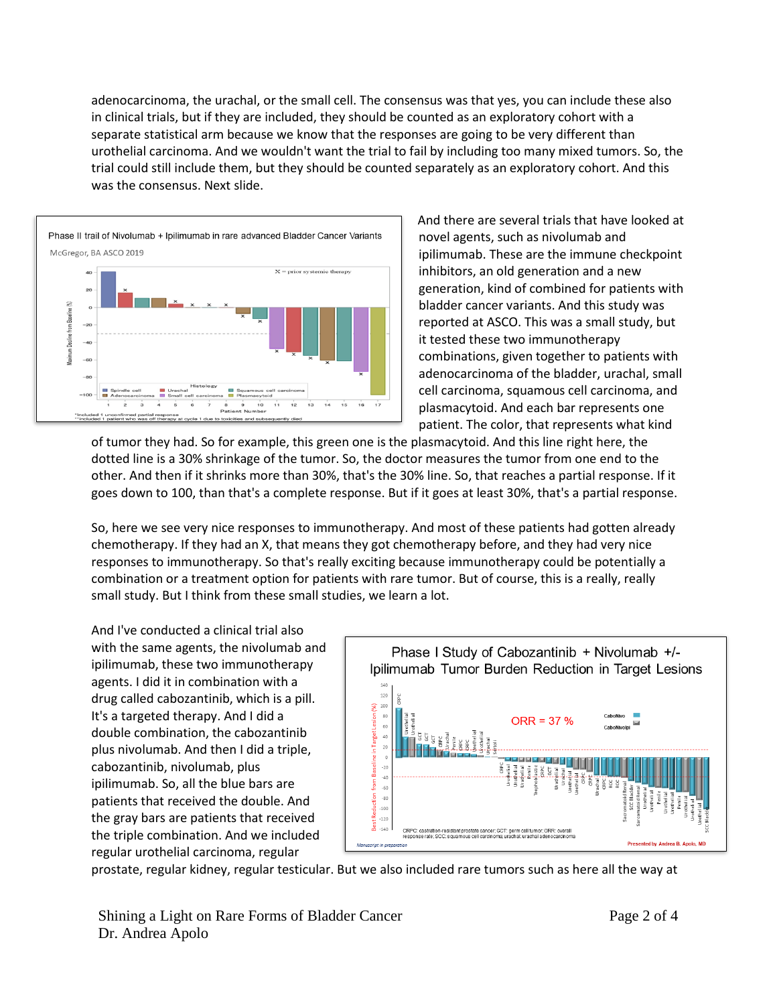adenocarcinoma, the urachal, or the small cell. The consensus was that yes, you can include these also in clinical trials, but if they are included, they should be counted as an exploratory cohort with a separate statistical arm because we know that the responses are going to be very different than urothelial carcinoma. And we wouldn't want the trial to fail by including too many mixed tumors. So, the trial could still include them, but they should be counted separately as an exploratory cohort. And this was the consensus. Next slide.



And there are several trials that have looked at novel agents, such as nivolumab and ipilimumab. These are the immune checkpoint inhibitors, an old generation and a new generation, kind of combined for patients with bladder cancer variants. And this study was reported at ASCO. This was a small study, but it tested these two immunotherapy combinations, given together to patients with adenocarcinoma of the bladder, urachal, small cell carcinoma, squamous cell carcinoma, and plasmacytoid. And each bar represents one patient. The color, that represents what kind

of tumor they had. So for example, this green one is the plasmacytoid. And this line right here, the dotted line is a 30% shrinkage of the tumor. So, the doctor measures the tumor from one end to the other. And then if it shrinks more than 30%, that's the 30% line. So, that reaches a partial response. If it goes down to 100, than that's a complete response. But if it goes at least 30%, that's a partial response.

So, here we see very nice responses to immunotherapy. And most of these patients had gotten already chemotherapy. If they had an X, that means they got chemotherapy before, and they had very nice responses to immunotherapy. So that's really exciting because immunotherapy could be potentially a combination or a treatment option for patients with rare tumor. But of course, this is a really, really small study. But I think from these small studies, we learn a lot.

And I've conducted a clinical trial also with the same agents, the nivolumab and ipilimumab, these two immunotherapy agents. I did it in combination with a drug called cabozantinib, which is a pill. It's a targeted therapy. And I did a double combination, the cabozantinib plus nivolumab. And then I did a triple, cabozantinib, nivolumab, plus ipilimumab. So, all the blue bars are patients that received the double. And the gray bars are patients that received the triple combination. And we included regular urothelial carcinoma, regular



prostate, regular kidney, regular testicular. But we also included rare tumors such as here all the way at

Shining a Light on Rare Forms of Bladder Cancer Dr. Andrea Apolo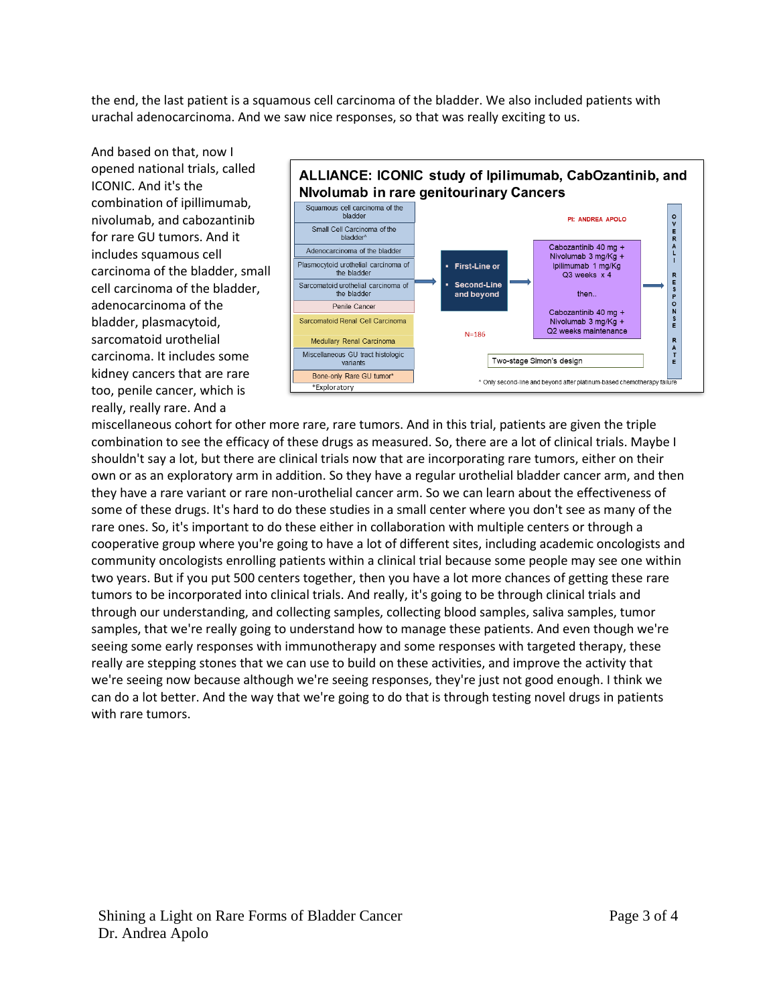the end, the last patient is a squamous cell carcinoma of the bladder. We also included patients with urachal adenocarcinoma. And we saw nice responses, so that was really exciting to us.

And based on that, now I opened national trials, called ICONIC. And it's the combination of ipillimumab, nivolumab, and cabozantinib for rare GU tumors. And it includes squamous cell carcinoma of the bladder, small cell carcinoma of the bladder, adenocarcinoma of the bladder, plasmacytoid, sarcomatoid urothelial carcinoma. It includes some kidney cancers that are rare too, penile cancer, which is really, really rare. And a



miscellaneous cohort for other more rare, rare tumors. And in this trial, patients are given the triple combination to see the efficacy of these drugs as measured. So, there are a lot of clinical trials. Maybe I shouldn't say a lot, but there are clinical trials now that are incorporating rare tumors, either on their own or as an exploratory arm in addition. So they have a regular urothelial bladder cancer arm, and then they have a rare variant or rare non-urothelial cancer arm. So we can learn about the effectiveness of some of these drugs. It's hard to do these studies in a small center where you don't see as many of the rare ones. So, it's important to do these either in collaboration with multiple centers or through a cooperative group where you're going to have a lot of different sites, including academic oncologists and community oncologists enrolling patients within a clinical trial because some people may see one within two years. But if you put 500 centers together, then you have a lot more chances of getting these rare tumors to be incorporated into clinical trials. And really, it's going to be through clinical trials and through our understanding, and collecting samples, collecting blood samples, saliva samples, tumor samples, that we're really going to understand how to manage these patients. And even though we're seeing some early responses with immunotherapy and some responses with targeted therapy, these really are stepping stones that we can use to build on these activities, and improve the activity that we're seeing now because although we're seeing responses, they're just not good enough. I think we can do a lot better. And the way that we're going to do that is through testing novel drugs in patients with rare tumors.